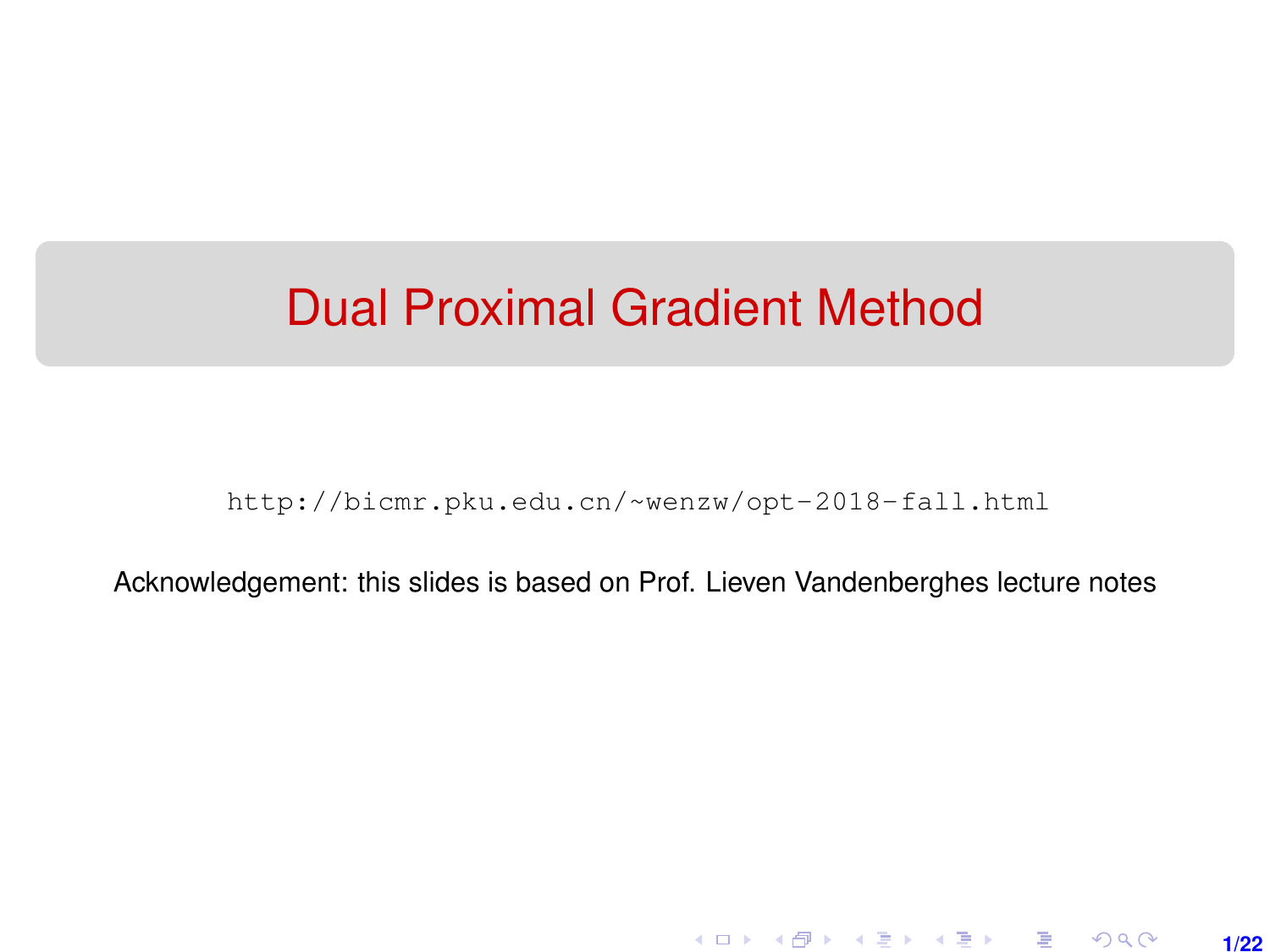# <span id="page-0-0"></span>Dual Proximal Gradient Method

[http://bicmr.pku.edu.cn/~wenzw/opt-2018-fall.html](http://bicmr.pku.edu.cn/~wenzw/opt-2018-fall.html )

Acknowledgement: this slides is based on Prof. Lieven Vandenberghes lecture notes

**1/22**

K ロ ▶ K 레 ▶ K 호 ▶ K 호 ▶ → 호 → 900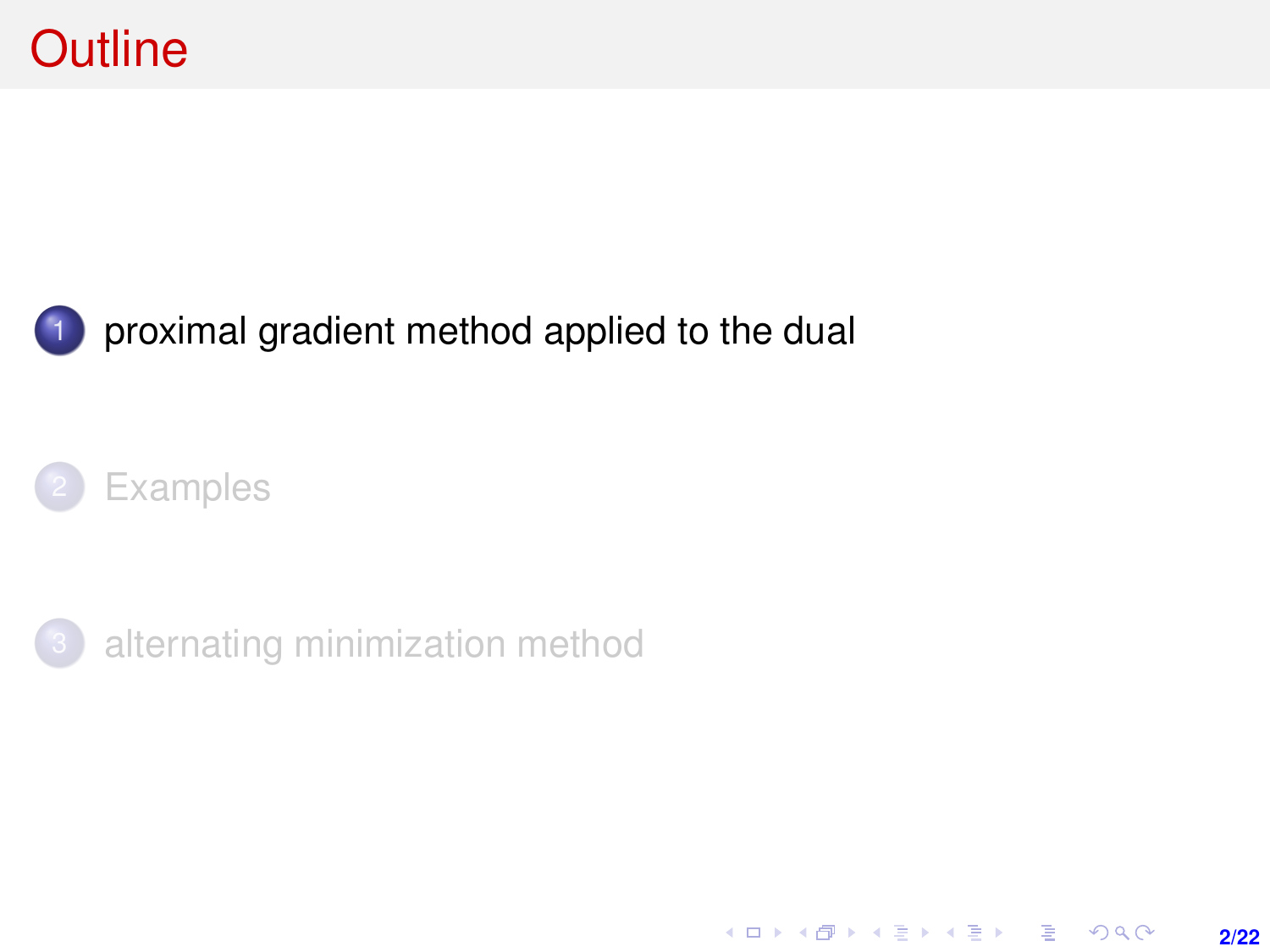<span id="page-1-0"></span>

### 1 [proximal gradient method applied to the dual](#page-1-0)





[alternating minimization method](#page-15-0)

K ロ ▶ K @ ▶ K 할 > K 할 > 1 할 > 1 이익어 **2/22**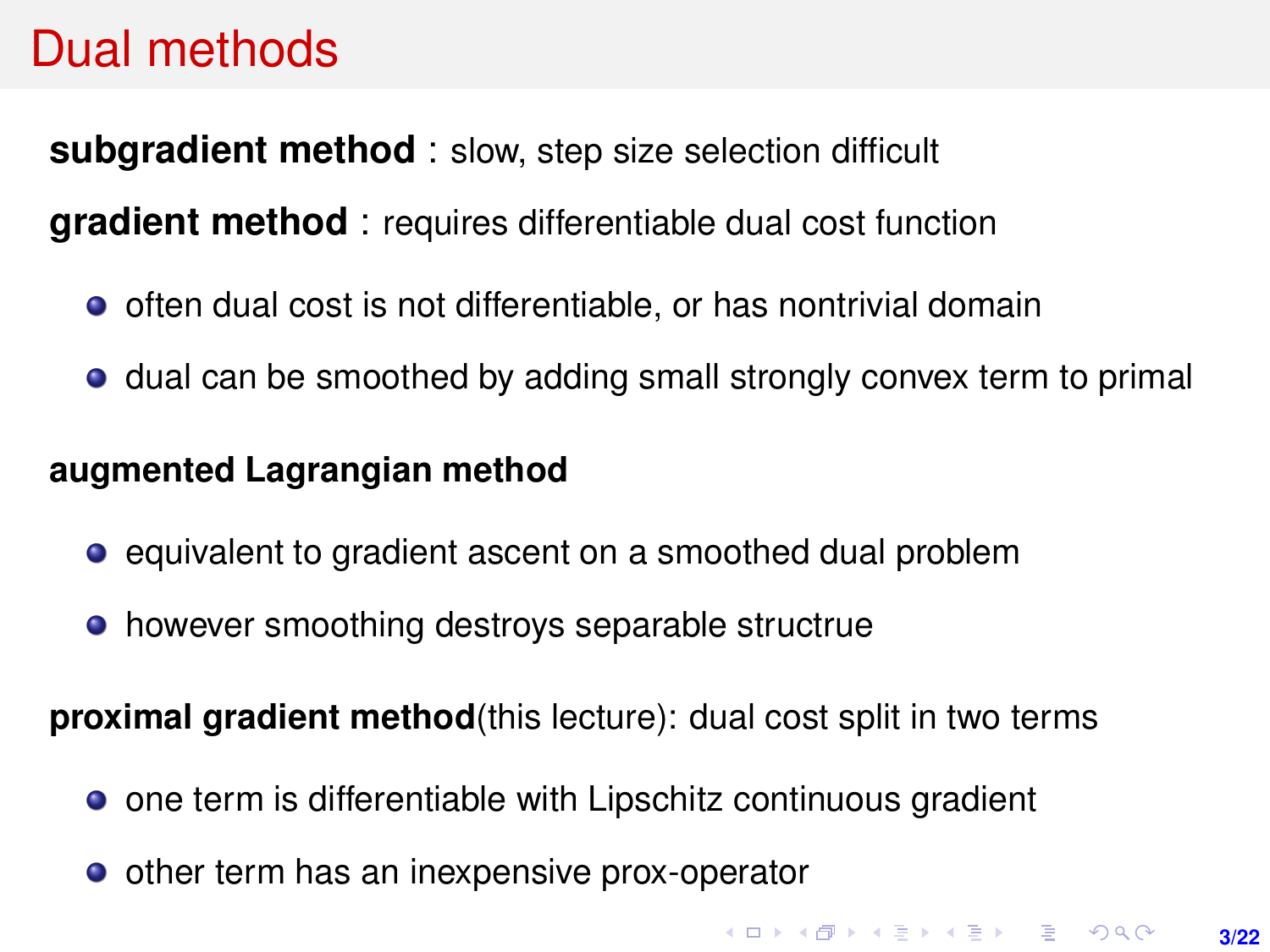## Dual methods

**subgradient method** : slow, step size selection difficult **gradient method** : requires differentiable dual cost function

- $\bullet$  often dual cost is not differentiable, or has nontrivial domain
- dual can be smoothed by adding small strongly convex term to primal

#### **augmented Lagrangian method**

- equivalent to gradient ascent on a smoothed dual problem
- however smoothing destroys separable structrue

**proximal gradient method**(this lecture): dual cost split in two terms

- one term is differentiable with Lipschitz continuous gradient
- other term has an inexpensive prox-operator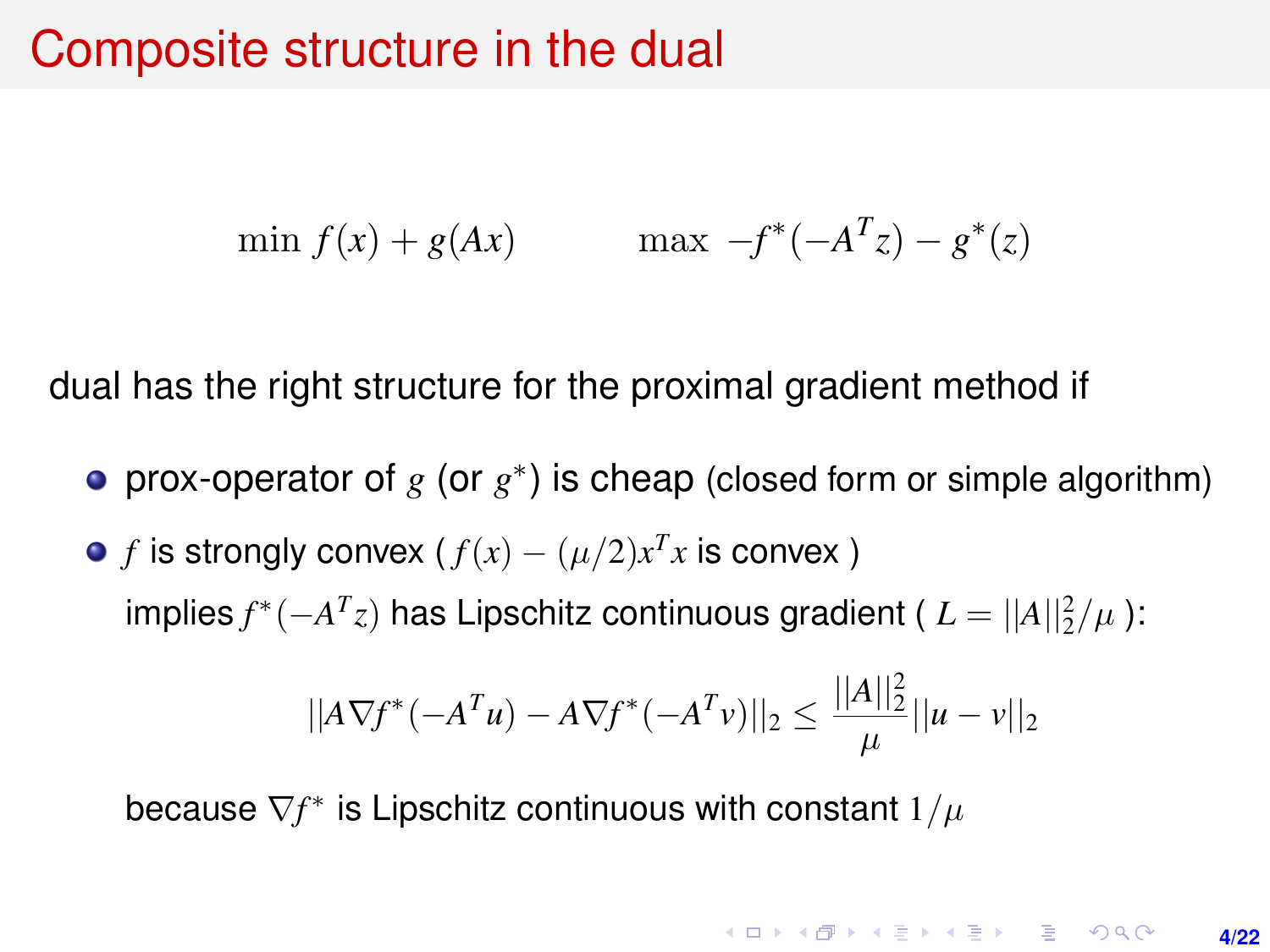### <span id="page-3-0"></span>Composite structure in the dual

$$
\min f(x) + g(Ax) \qquad \max \ -f^*(-A^Tz) - g^*(z)
$$

dual has the right structure for the proximal gradient method if

- prox-operator of  $g$  (or  $g^*$ ) is cheap (closed form or simple algorithm)
- *f* is strongly convex ( $f(x) (\mu/2)x^T x$  is convex )  $\int \text{Implies } f^*(-A^Tz)$  has Lipschitz continuous gradient (  $L = ||A||_2^2/\mu$  ):

$$
||A\nabla f^*(-A^Tu) - A\nabla f^*(-A^Tv)||_2 \le \frac{||A||_2^2}{\mu}||u - v||_2
$$

because  $\nabla f^*$  is Lipschitz continuous with constant  $1/\mu$ 

**KORKAR KERKER E VOOR 4/22**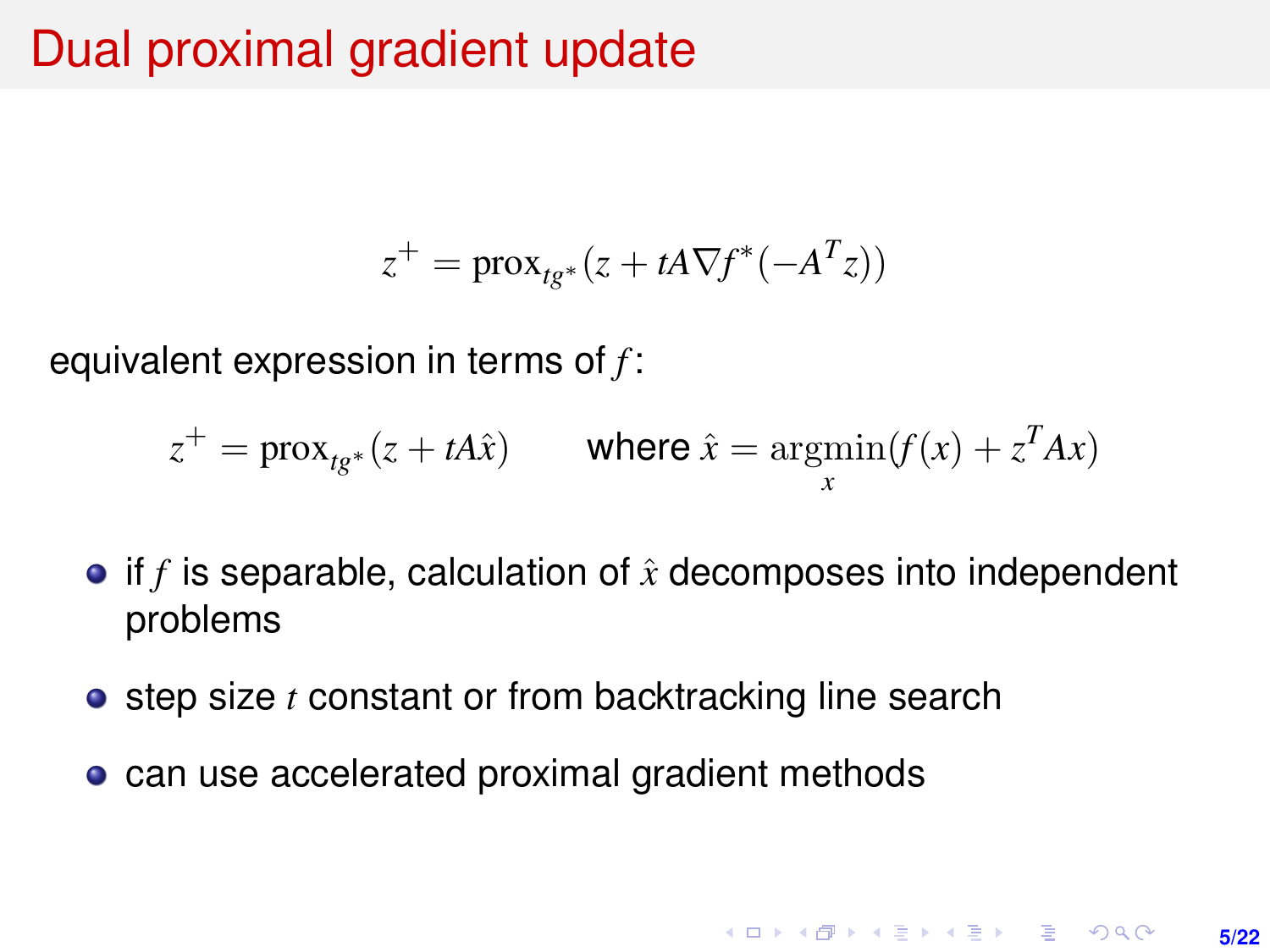## Dual proximal gradient update

$$
z^+ = \text{prox}_{tg^*}(z + tA\nabla f^*(-A^T z))
$$

equivalent expression in terms of *f* :

$$
z^{+} = \text{prox}_{tg^{*}}(z + tA\hat{x}) \qquad \text{where } \hat{x} = \operatorname*{argmin}_{x} (f(x) + z^{T}Ax)
$$

- if  $f$  is separable, calculation of  $\hat{x}$  decomposes into independent problems
- **•** step size *t* constant or from backtracking line search
- can use accelerated proximal gradient methods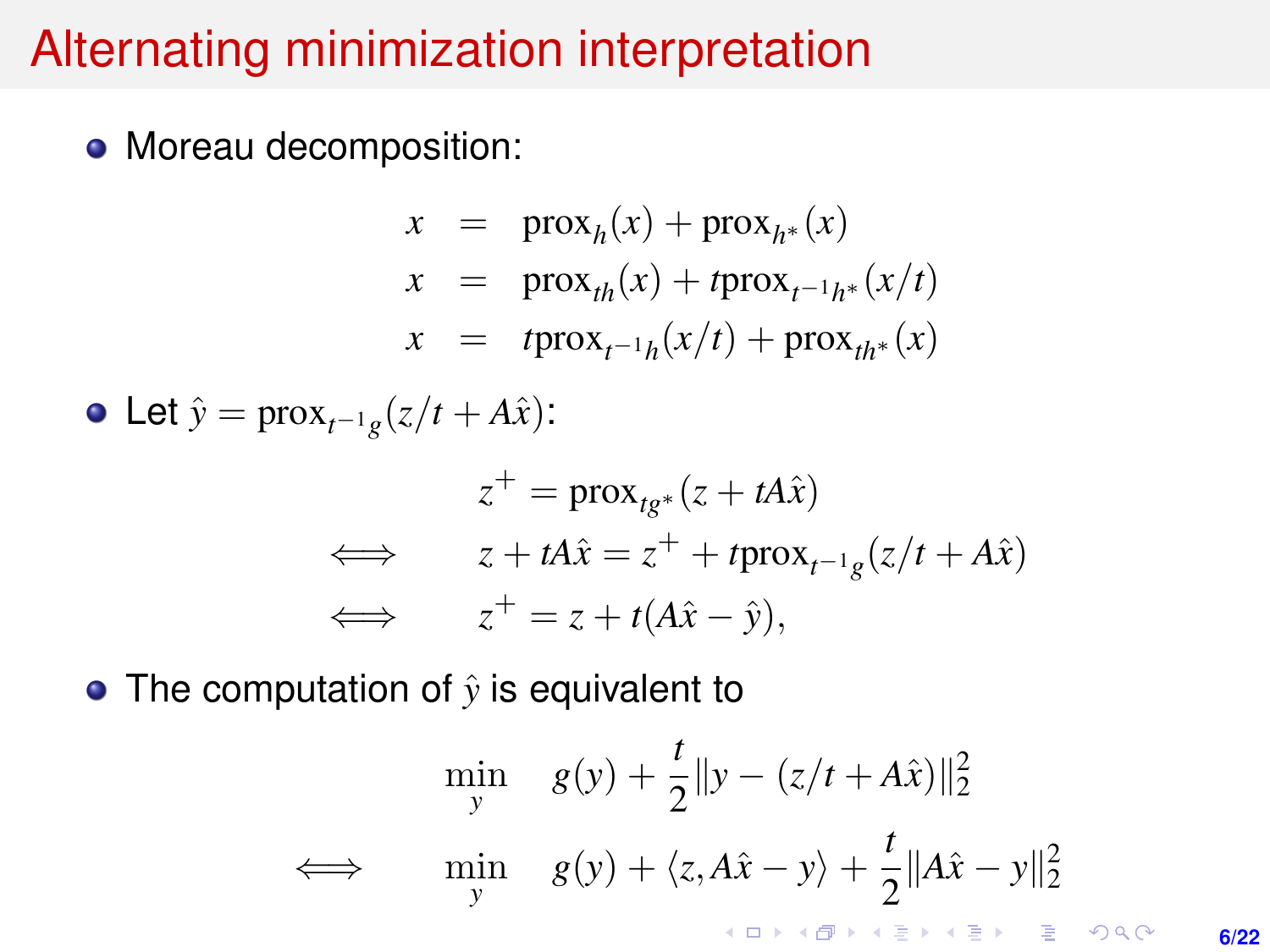# Alternating minimization interpretation

• Moreau decomposition:

$$
x = \text{prox}_{h}(x) + \text{prox}_{h^{*}}(x)
$$
  
\n
$$
x = \text{prox}_{th}(x) + t \text{prox}_{t^{-1}h^{*}}(x/t)
$$
  
\n
$$
x = t \text{prox}_{t^{-1}h}(x/t) + \text{prox}_{th^{*}}(x)
$$

Let  $\hat{y} = \text{prox}_{t^{-1}g}(z/t + A\hat{x})$ :

$$
z^{+} = \text{prox}_{tg^{*}}(z + tA\hat{x})
$$
  
\n
$$
z + tA\hat{x} = z^{+} + t\text{prox}_{t^{-1}g}(z/t + A\hat{x})
$$
  
\n
$$
z^{+} = z + t(A\hat{x} - \hat{y}),
$$

• The computation of  $\hat{y}$  is equivalent to

$$
\min_{y} \quad g(y) + \frac{t}{2} \|y - (z/t + A\hat{x})\|_{2}^{2}
$$
\n
$$
\iff \quad \min_{y} \quad g(y) + \langle z, A\hat{x} - y \rangle + \frac{t}{2} \|A\hat{x} - y\|_{2}^{2}
$$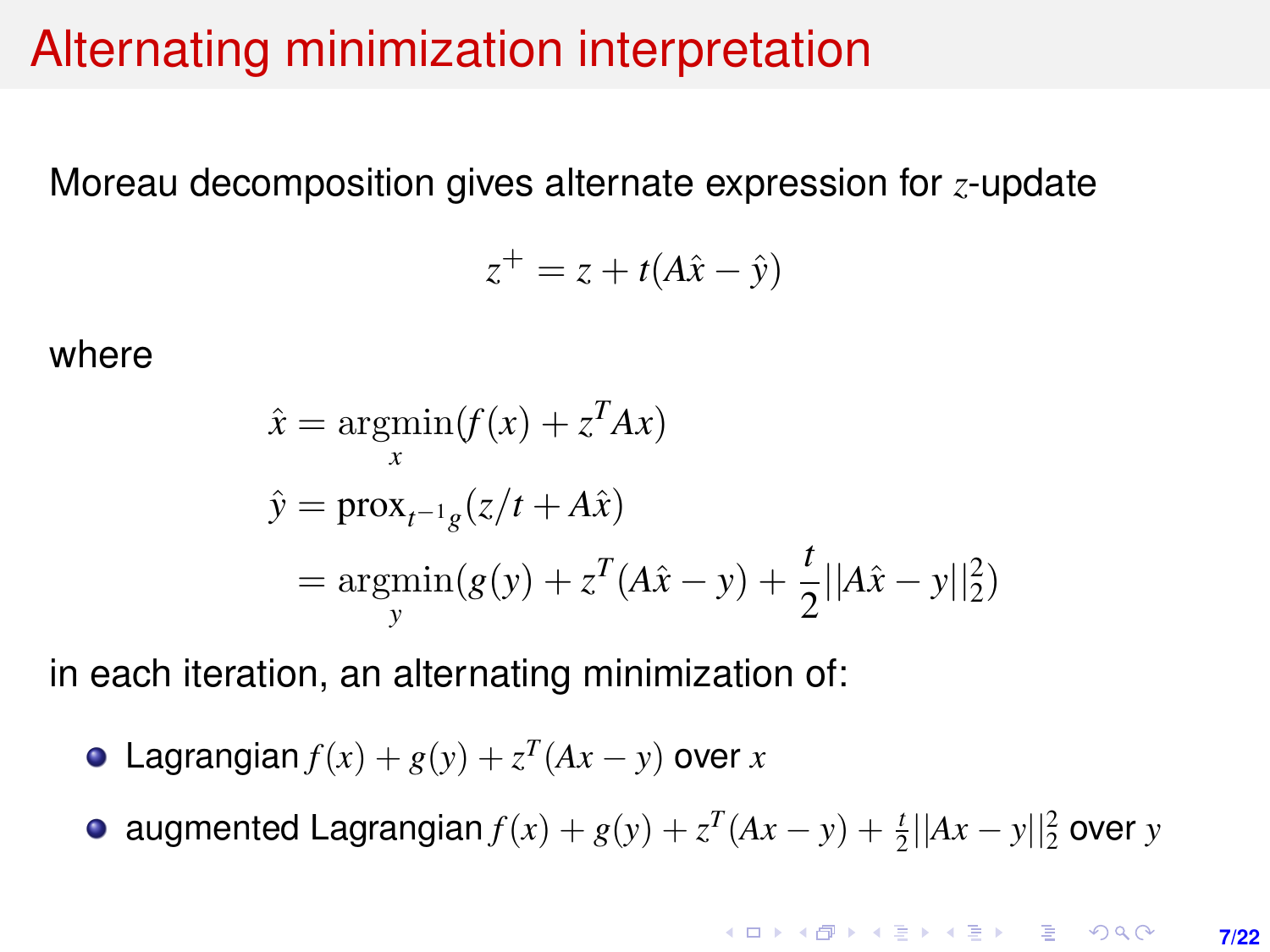## Alternating minimization interpretation

Moreau decomposition gives alternate expression for *z*-update

$$
z^+ = z + t(A\hat{x} - \hat{y})
$$

where

$$
\hat{x} = \underset{x}{\operatorname{argmin}} (f(x) + z^T A x)
$$
\n
$$
\hat{y} = \operatorname{prox}_{t^{-1}g}(z/t + A\hat{x})
$$
\n
$$
= \underset{y}{\operatorname{argmin}} (g(y) + z^T (A\hat{x} - y) + \frac{t}{2} ||A\hat{x} - y||_2^2)
$$

in each iteration, an alternating minimization of:

- Lagrangian  $f(x) + g(y) + z^{T}(Ax y)$  over *x*
- augmented Lagrangian  $f(x) + g(y) + z^{T}(Ax y) + \frac{t}{2}||Ax y||_2^2$  over *y*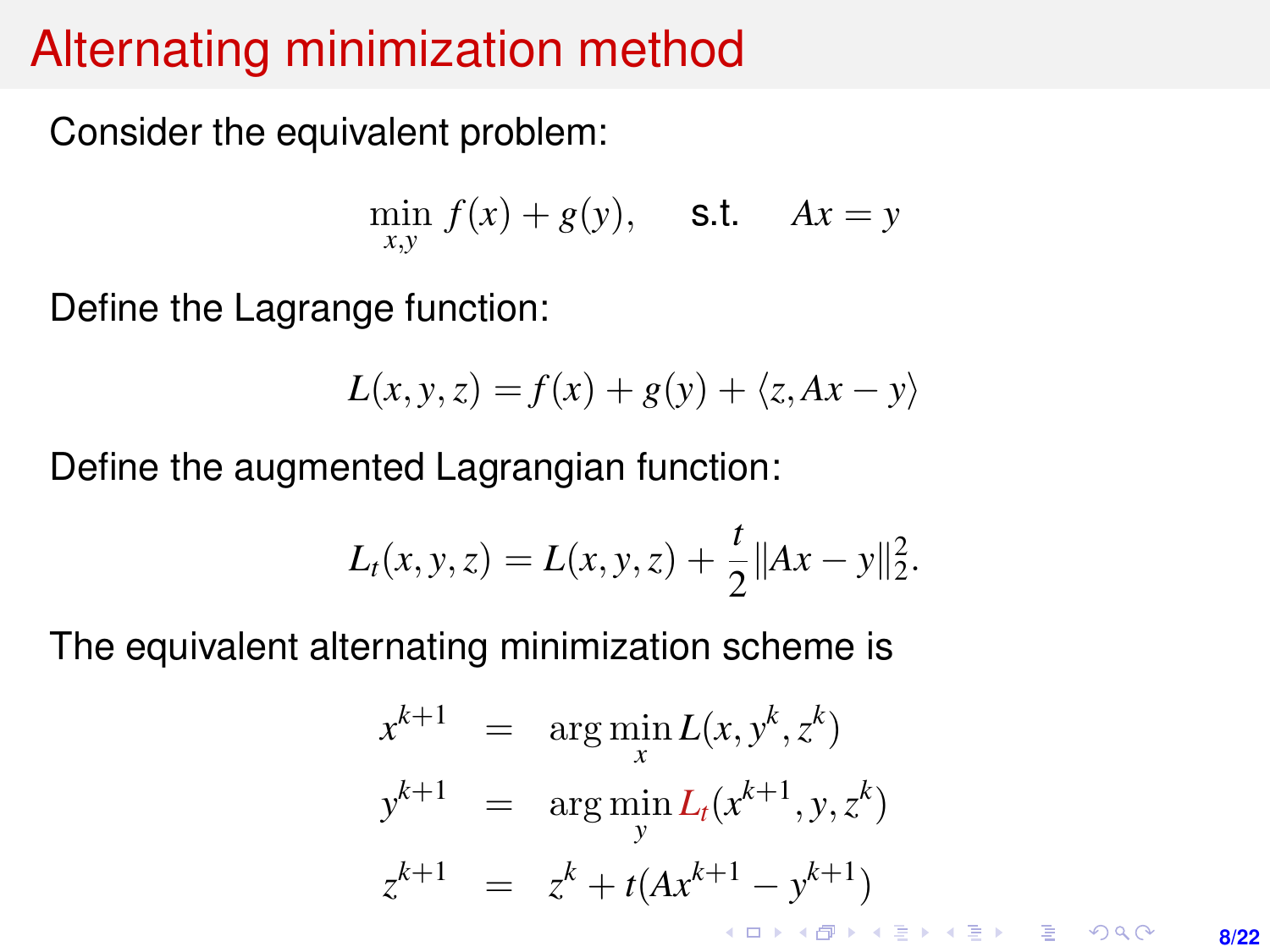# Alternating minimization method

Consider the equivalent problem:

$$
\min_{x,y} f(x) + g(y), \quad \text{s.t.} \quad Ax = y
$$

Define the Lagrange function:

$$
L(x, y, z) = f(x) + g(y) + \langle z, Ax - y \rangle
$$

Define the augmented Lagrangian function:

$$
L_t(x, y, z) = L(x, y, z) + \frac{t}{2} ||Ax - y||_2^2.
$$

The equivalent alternating minimization scheme is

$$
x^{k+1} = \arg \min_{x} L(x, y^k, z^k)
$$
  
\n
$$
y^{k+1} = \arg \min_{y} L_t(x^{k+1}, y, z^k)
$$
  
\n
$$
z^{k+1} = z^k + t(Ax^{k+1} - y^{k+1})
$$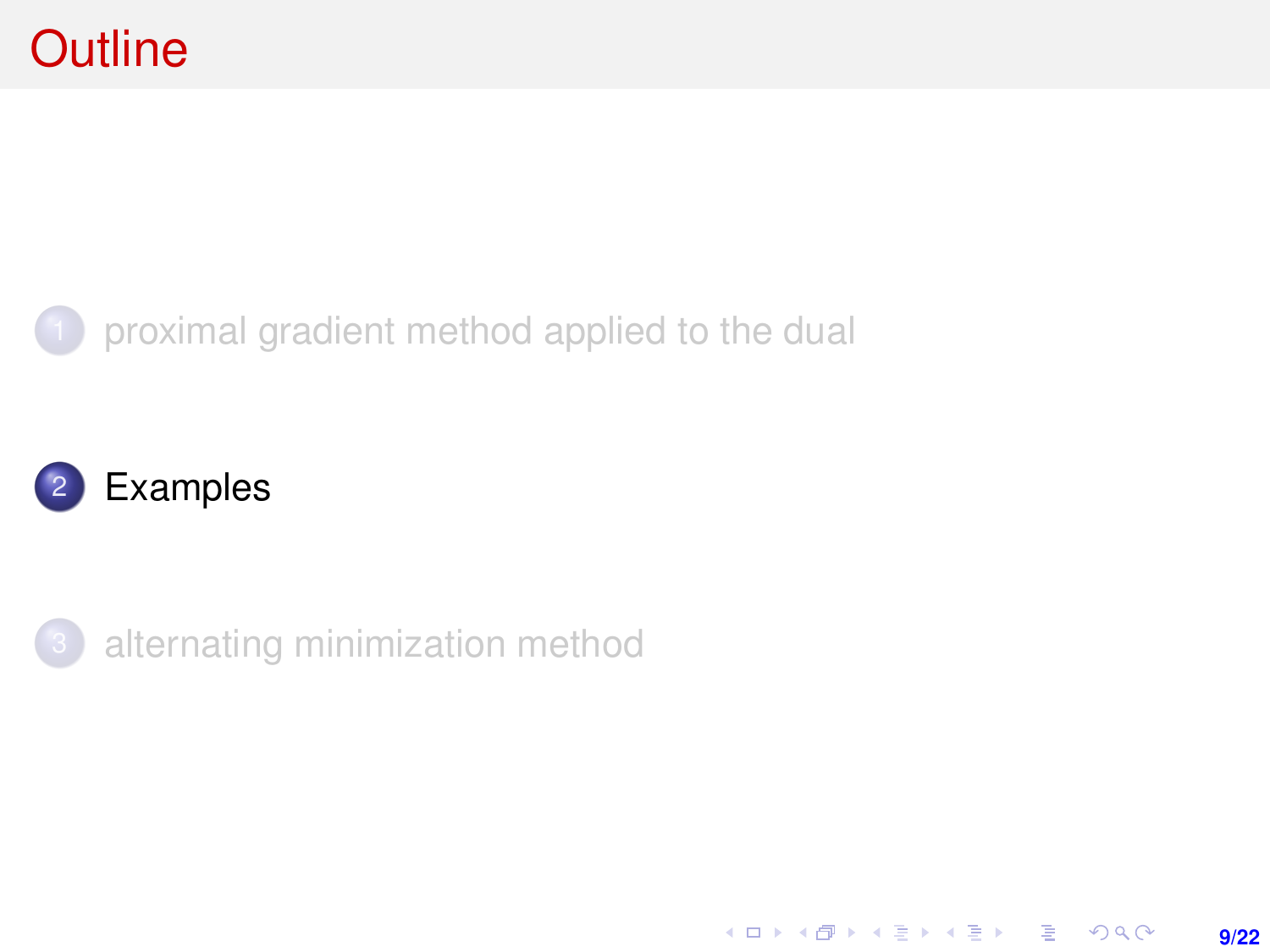### <span id="page-8-0"></span>1 [proximal gradient method applied to the dual](#page-1-0)

**9/22**

K ロ ▶ K @ ▶ K 할 ▶ K 할 ▶ | 할 | K 9 Q Q ·





[alternating minimization method](#page-15-0)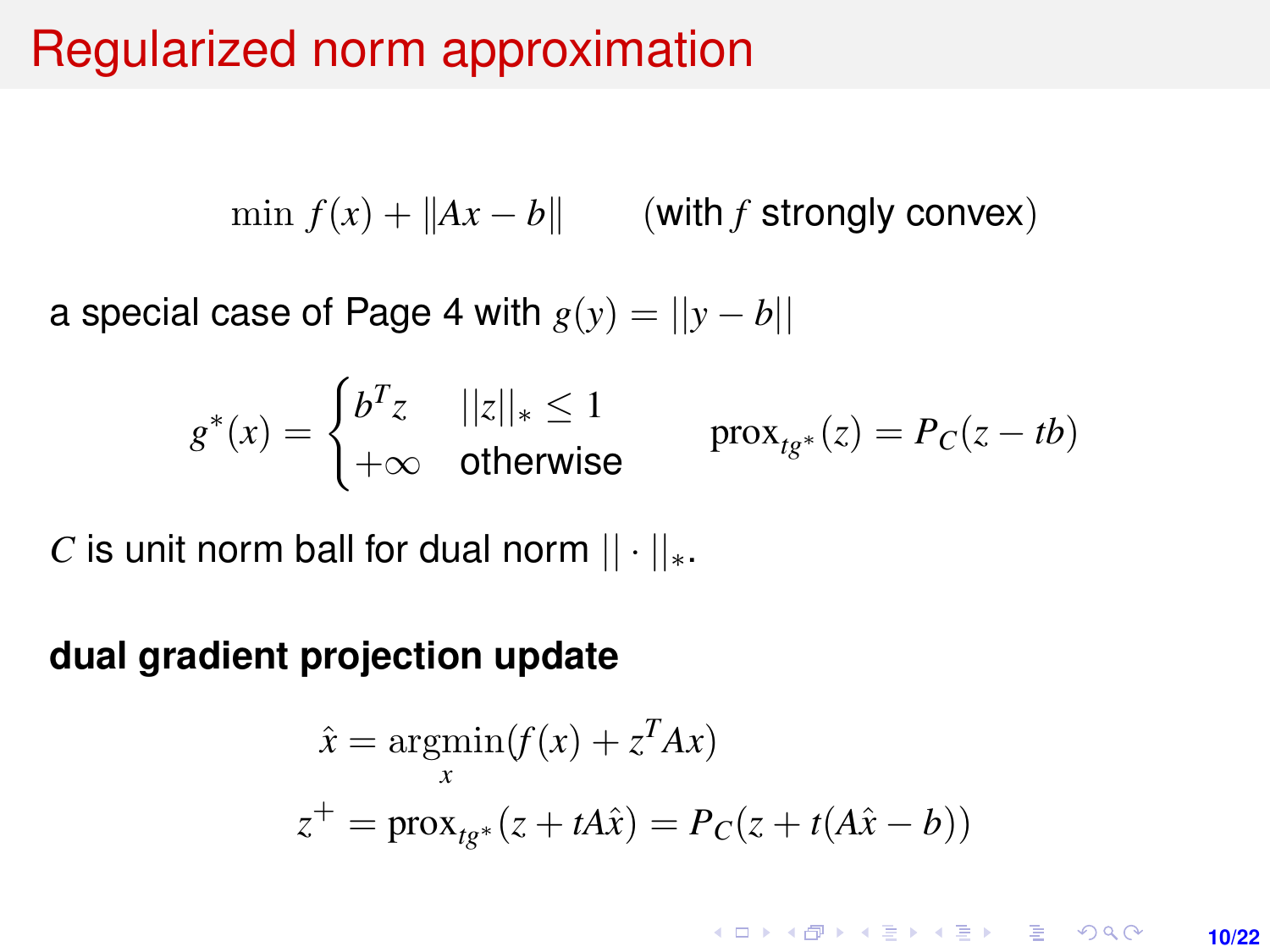# Regularized norm approximation

 $\min f(x) + ||Ax - b||$  (with *f* strongly convex)

a special case of Page [4](#page-3-0) with  $g(y) = ||y - b||$ 

$$
g^*(x) = \begin{cases} b^T z & ||z||_* \le 1 \\ +\infty & \text{otherwise} \end{cases} \qquad \text{prox}_{tg^*}(z) = P_C(z - tb)
$$

*C* is unit norm ball for dual norm  $|| \cdot ||_*$ .

#### **dual gradient projection update**

$$
\hat{x} = \underset{x}{\operatorname{argmin}} (f(x) + z^T A x)
$$

$$
z^+ = \operatorname{prox}_{t g^*}(z + t A \hat{x}) = P_C(z + t (A \hat{x} - b))
$$

**KORKARKKERK E VAN 10/22**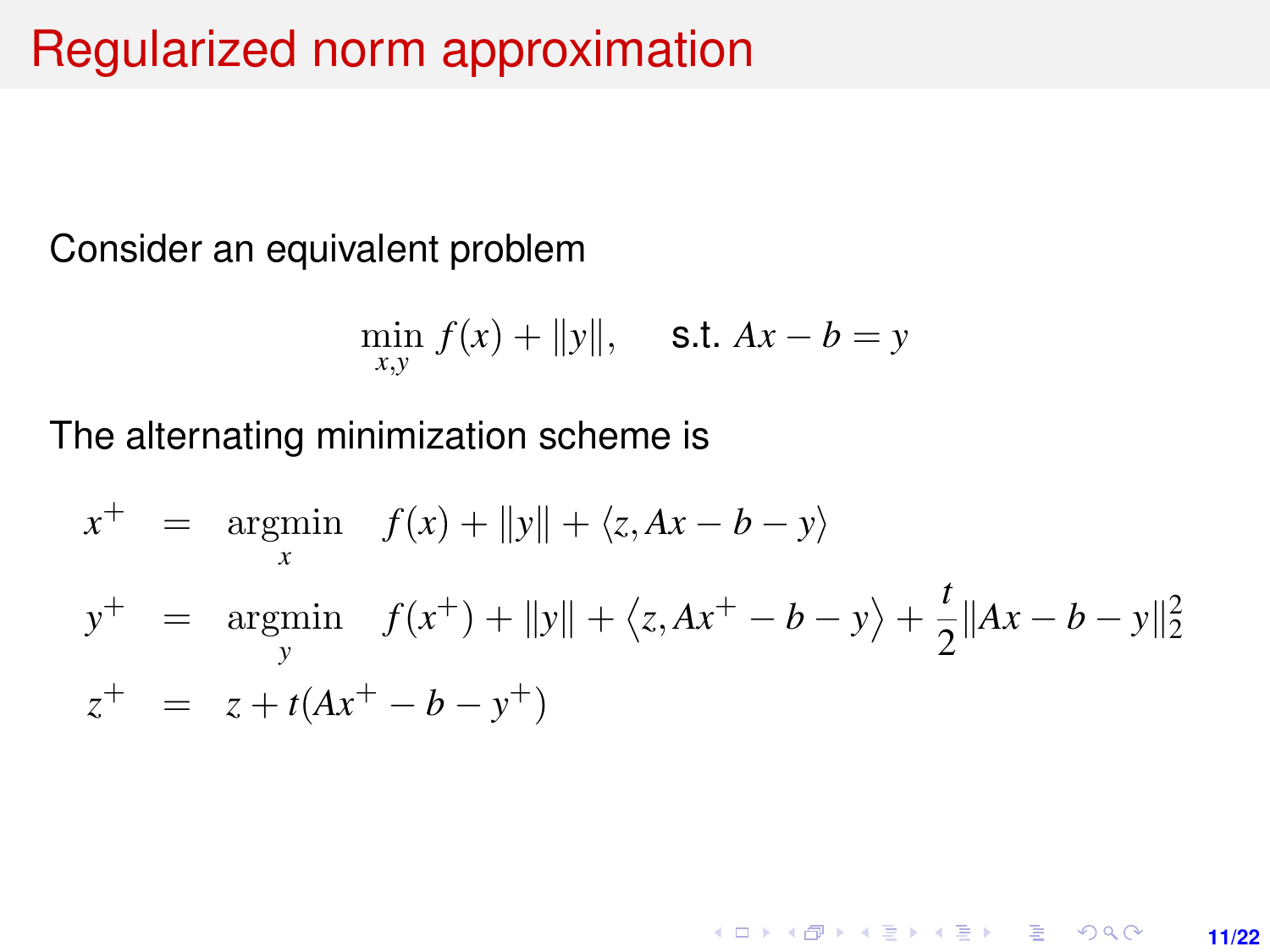# Regularized norm approximation

Consider an equivalent problem

$$
\min_{x,y} f(x) + ||y||, \quad \text{s.t. } Ax - b = y
$$

The alternating minimization scheme is

$$
x^{+} = \underset{x}{\operatorname{argmin}} \quad f(x) + ||y|| + \langle z, Ax - b - y \rangle
$$
  
\n
$$
y^{+} = \underset{y}{\operatorname{argmin}} \quad f(x^{+}) + ||y|| + \langle z, Ax^{+} - b - y \rangle + \frac{t}{2} ||Ax - b - y||_{2}^{2}
$$
  
\n
$$
z^{+} = z + t(Ax^{+} - b - y^{+})
$$

**11/22**

K ロ ▶ K @ ▶ K 할 ▶ K 할 ▶ 이 할 → 9 Q @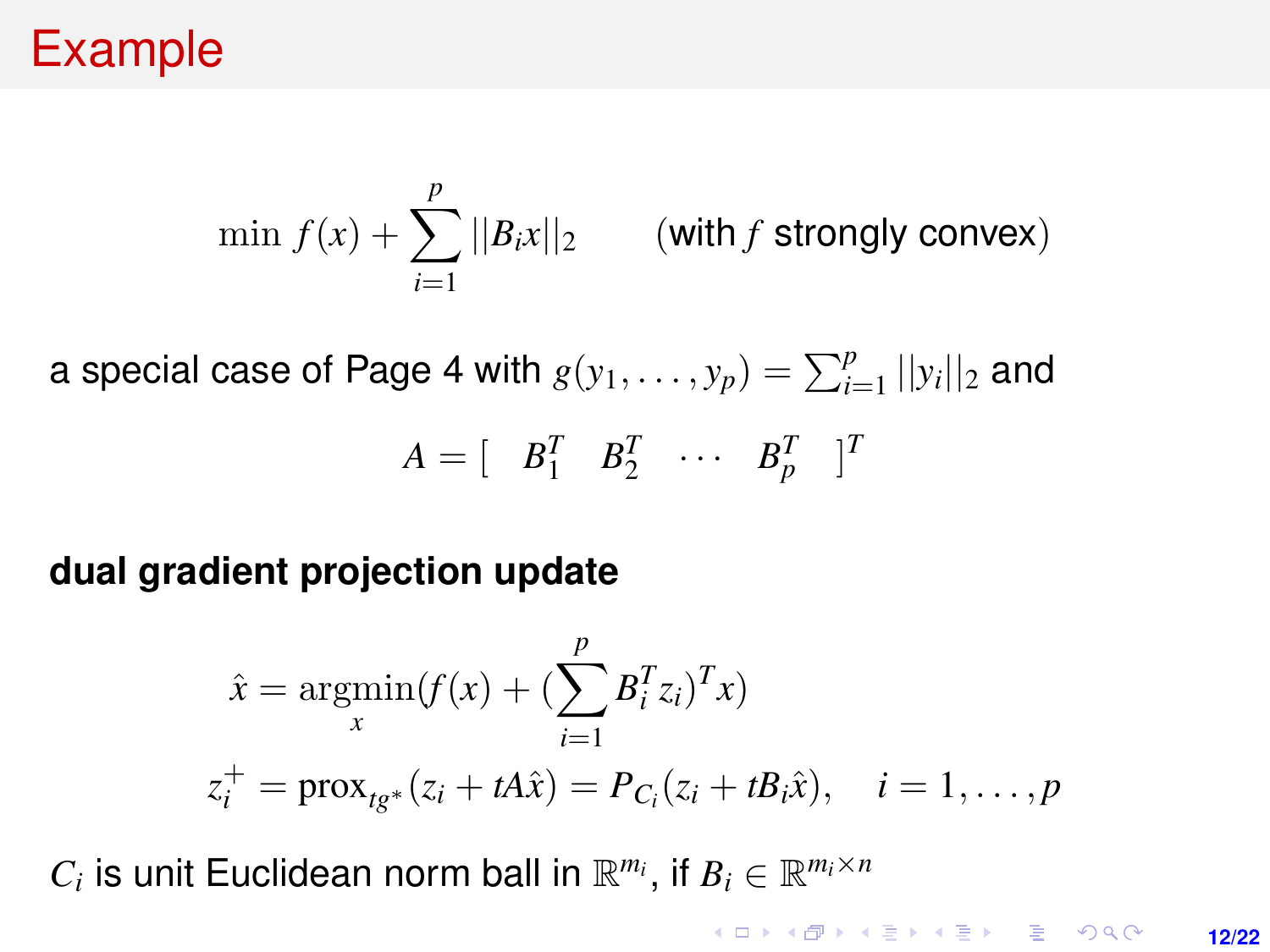## Example

$$
\min f(x) + \sum_{i=1}^{p} ||B_i x||_2 \qquad \text{(with } f \text{ strongly convex)}
$$

a special case of Page [4](#page-3-0) with  $g(y_1, \ldots, y_p) = \sum_{i=1}^p ||y_i||_2$  and

$$
A = \left[ \begin{array}{cc} B_1^T & B_2^T & \cdots & B_p^T \end{array} \right]^T
$$

### **dual gradient projection update**

$$
\hat{x} = \underset{x}{\operatorname{argmin}}(f(x) + (\sum_{i=1}^{p} B_{i}^{T} z_{i})^{T} x)
$$
  
\n
$$
z_{i}^{+} = \operatorname{prox}_{t g^{*}}(z_{i} + t A \hat{x}) = P_{C_{i}}(z_{i} + t B_{i} \hat{x}), \quad i = 1, ..., p
$$

 $C_i$  is unit Euclidean norm ball in  $\mathbb{R}^{m_i}$ , if  $B_i \in \mathbb{R}^{m_i \times n}$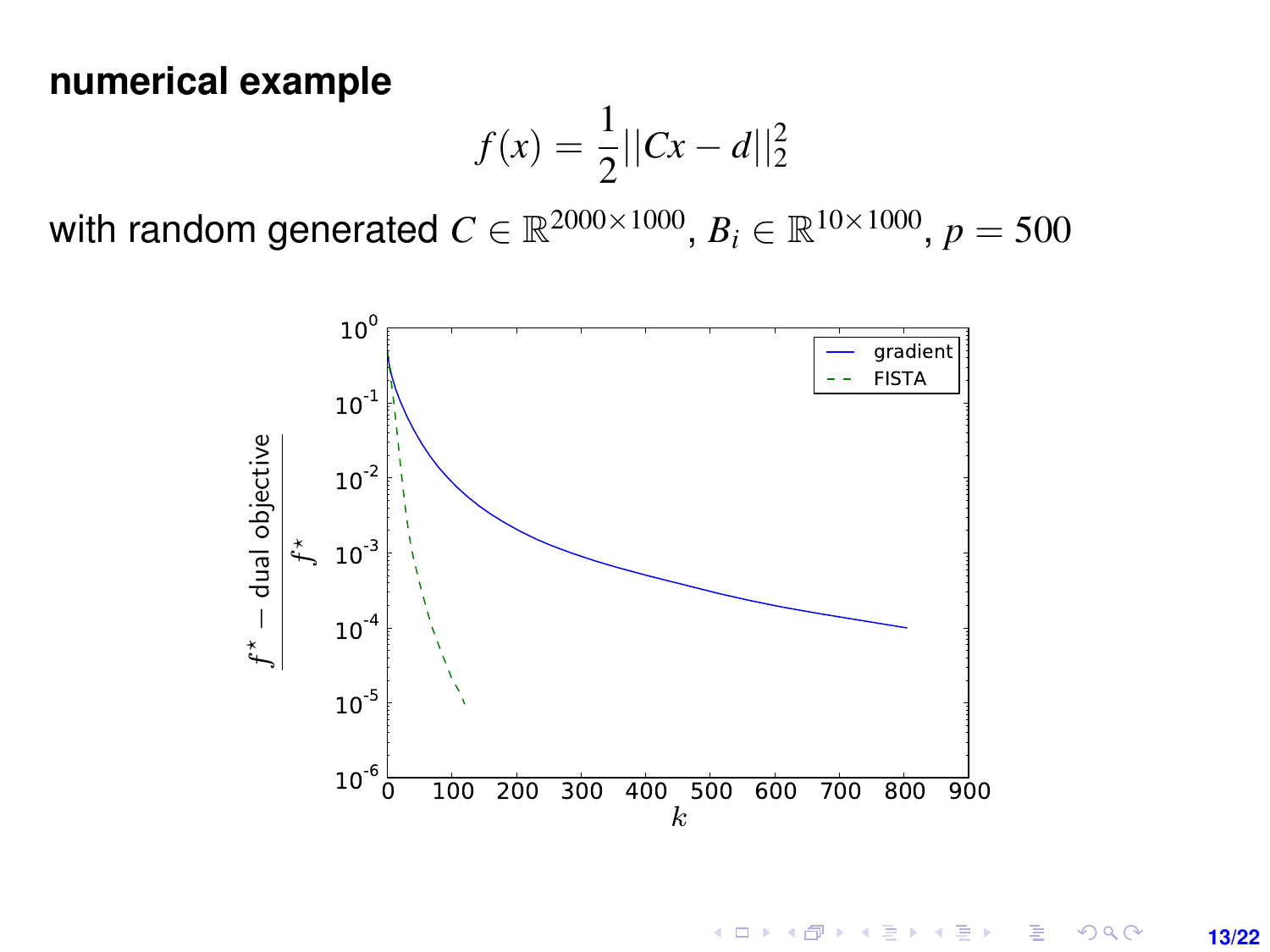#### **numerical example**

$$
f(x) = \frac{1}{2} ||Cx - d||_2^2
$$

with random generated  $C \in \mathbb{R}^{2000 \times 1000} ,$   $B_i \in \mathbb{R}^{10 \times 1000} ,$   $p = 500$ 



 $4$  ロ )  $4$   $6$  )  $4$   $\geq$  )  $4$   $\geq$  ) E  $298$ **13/22**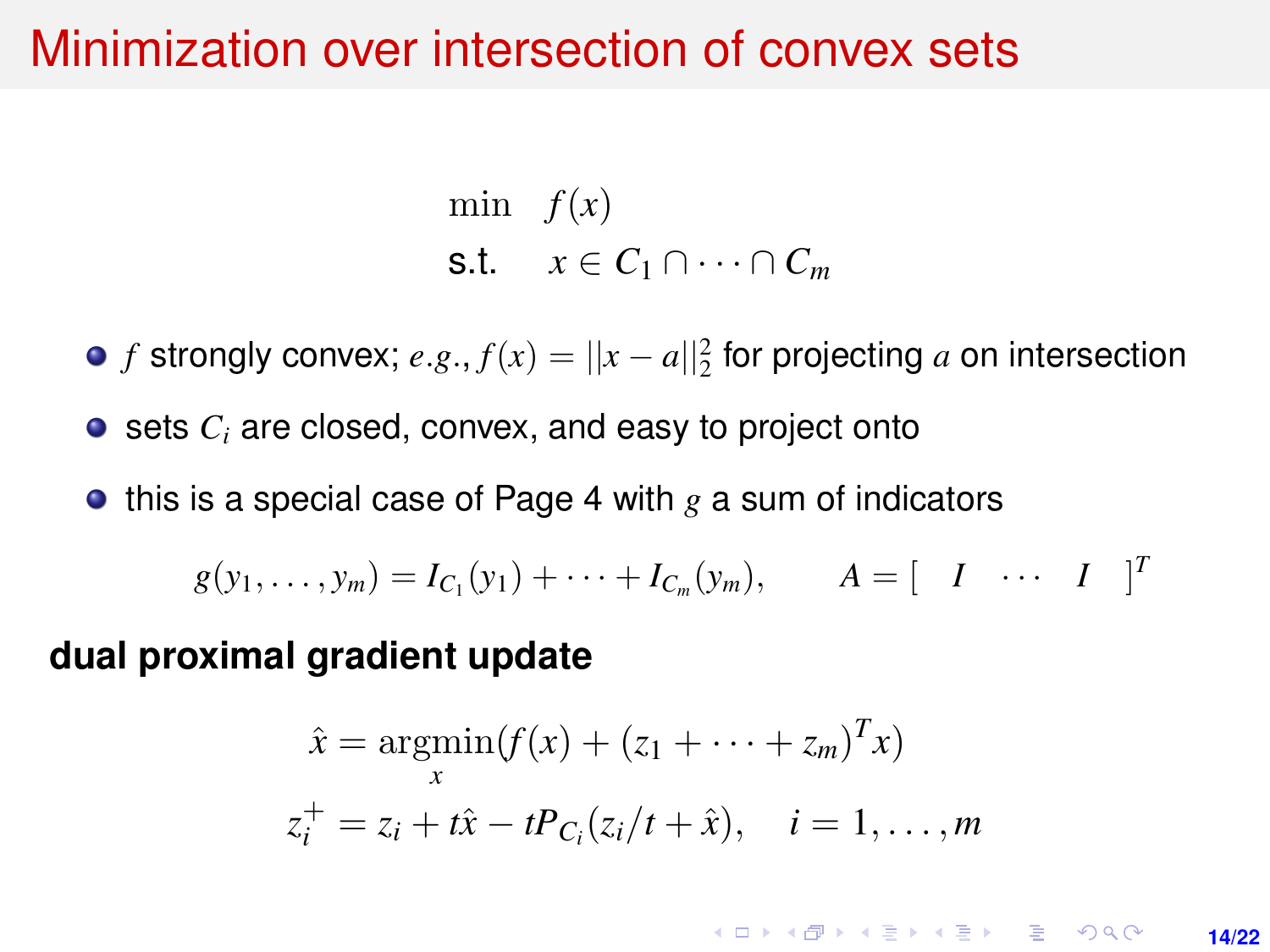### Minimization over intersection of convex sets

min  $f(x)$ s.t.  $x \in C_1 \cap \cdots \cap C_m$ 

*f* strongly convex;  $e.g., f(x) = ||x - a||_2^2$  for projecting *a* on intersection

● sets *C<sub>i</sub>* are closed, convex, and easy to project onto

 $\bullet$  this is a special case of Page [4](#page-3-0) with  $g$  a sum of indicators

$$
g(y_1,..., y_m) = I_{C_1}(y_1) + \cdots + I_{C_m}(y_m), \qquad A = [I \cdots I]^T
$$

**dual proximal gradient update**

$$
\hat{x} = \underset{x}{\text{argmin}} (f(x) + (z_1 + \dots + z_m)^T x)
$$
  

$$
z_i^+ = z_i + t\hat{x} - tP_{C_i}(z_i/t + \hat{x}), \quad i = 1, \dots, m
$$

**KOD KARD KED KED DRA 14/22**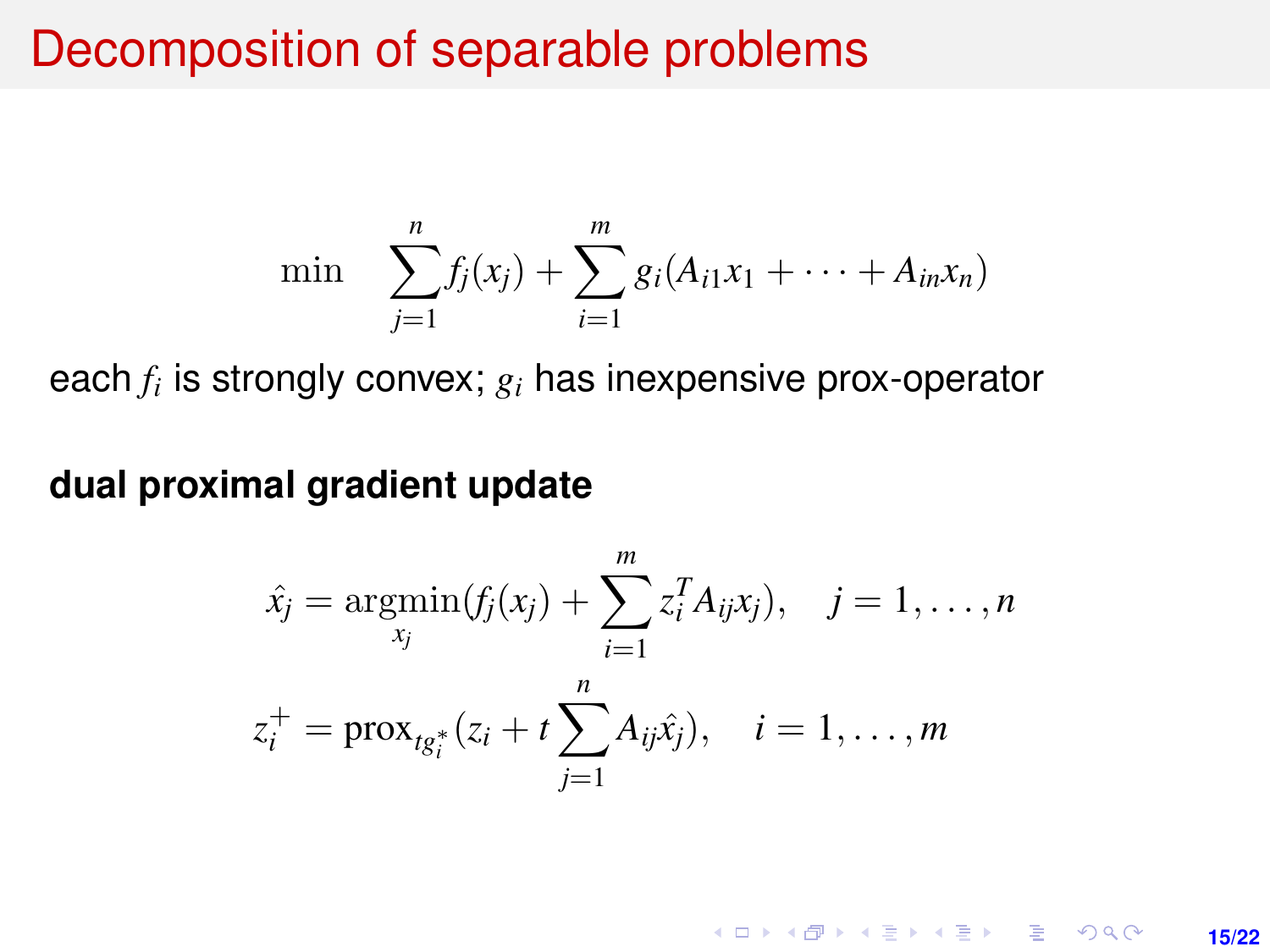### Decomposition of separable problems

min 
$$
\sum_{j=1}^{n} f_j(x_j) + \sum_{i=1}^{m} g_i(A_{i1}x_1 + \cdots + A_{in}x_n)
$$

each *f<sup>i</sup>* is strongly convex; *g<sup>i</sup>* has inexpensive prox-operator

**dual proximal gradient update**

$$
\hat{x}_j = \underset{x_j}{\text{argmin}}(f_j(x_j) + \sum_{i=1}^m z_i^T A_{ij} x_j), \quad j = 1, \dots, n
$$
\n
$$
z_i^+ = \text{prox}_{t g_i^*}(z_i + t \sum_{j=1}^n A_{ij} \hat{x}_j), \quad i = 1, \dots, m
$$

**KORKARKKERK E VAN 15/22**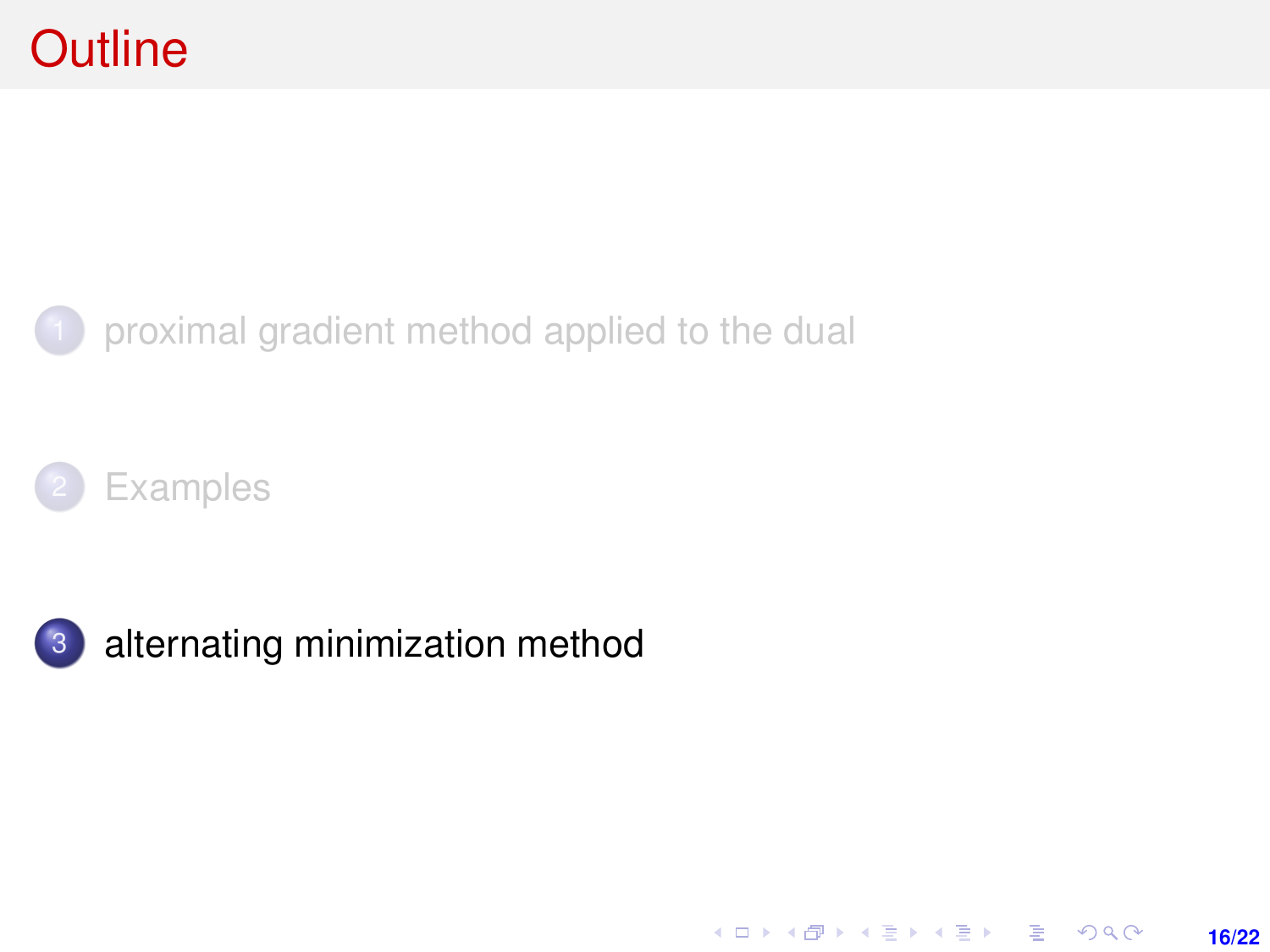### <span id="page-15-0"></span>1 [proximal gradient method applied to the dual](#page-1-0)





3 [alternating minimization method](#page-15-0)

K ロ ▶ K @ ▶ K 할 ▶ K 할 ▶ 이 할 → 9 Q @ **16/22**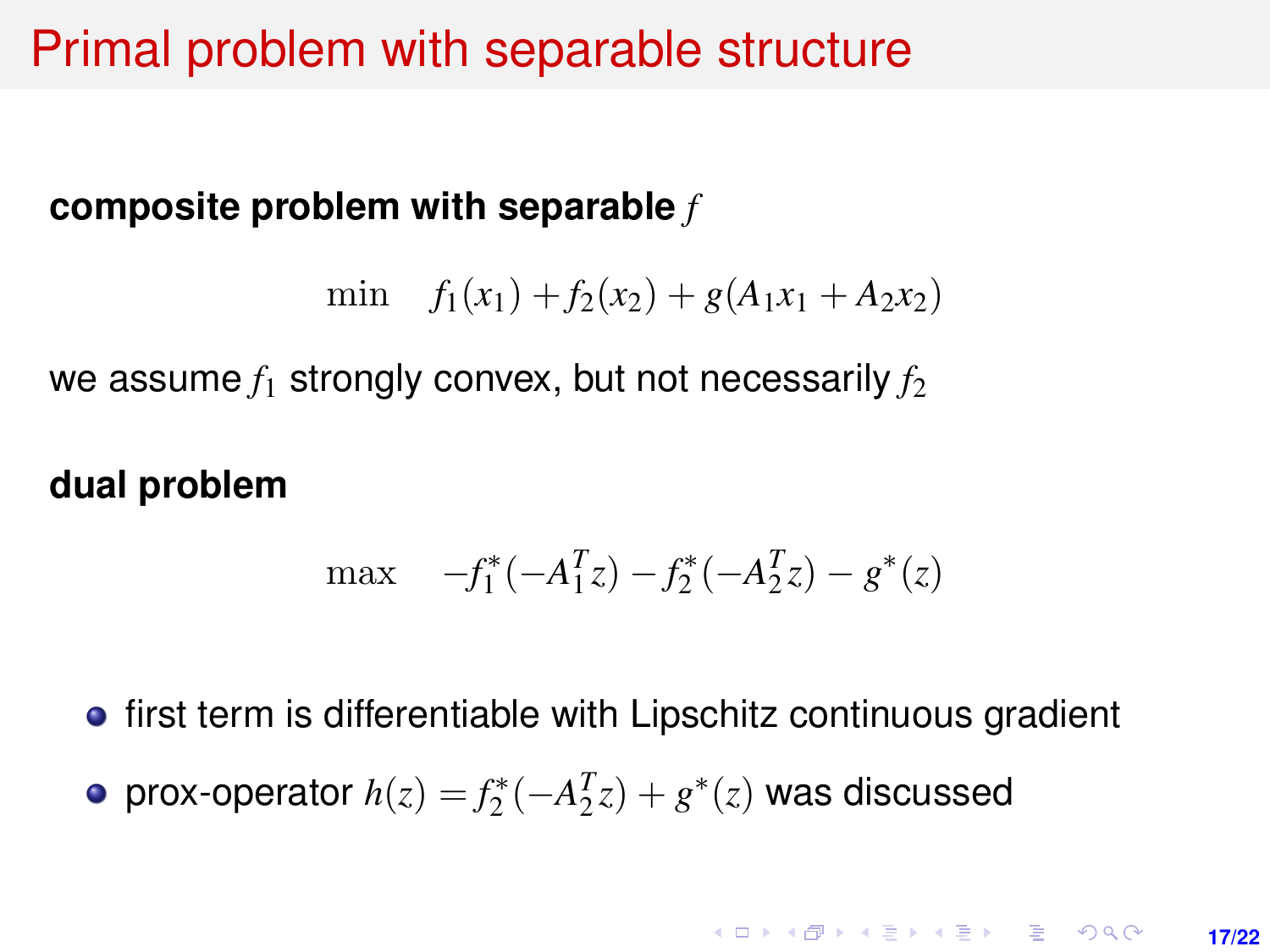## Primal problem with separable structure

### **composite problem with separable** *f*

$$
\min f_1(x_1) + f_2(x_2) + g(A_1x_1 + A_2x_2)
$$

we assume  $f_1$  strongly convex, but not necessarily  $f_2$ 

### **dual problem**

$$
\max \quad -f_1^*(-A_1^Tz) - f_2^*(-A_2^Tz) - g^*(z)
$$

**•** first term is differentiable with Lipschitz continuous gradient

 $prox$ -operator  $h(z) = f_2^*(-A_2^Tz) + g^*(z)$  was discussed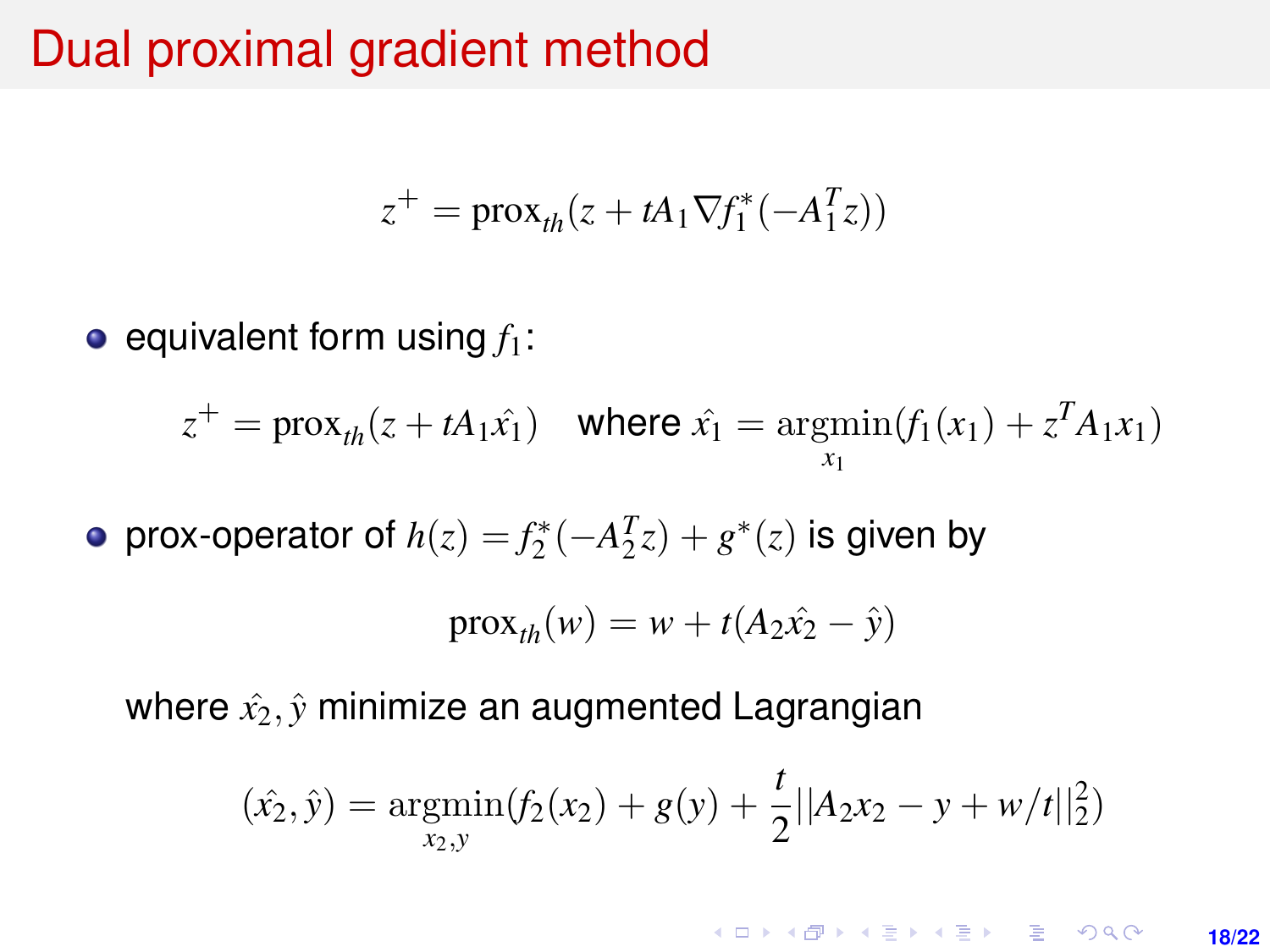### <span id="page-17-0"></span>Dual proximal gradient method

$$
z^{+} = \text{prox}_{th}(z + tA_1 \nabla f_1^*(-A_1^T z))
$$

 $\bullet$  equivalent form using  $f_1$ :

$$
z^+ = \text{prox}_{th}(z + tA_1\hat{x}_1)
$$
 where  $\hat{x}_1 = \underset{x_1}{\text{argmin}}(f_1(x_1) + z^T A_1 x_1)$ 

prox-operator of  $h(z) = f_2^*(-A_2^Tz) + g^*(z)$  is given by

$$
\operatorname{prox}_{th}(w) = w + t(A_2\hat{x}_2 - \hat{y})
$$

where  $\hat{x}_2$ ,  $\hat{y}$  minimize an augmented Lagrangian

$$
(\hat{x_2}, \hat{y}) = \underset{x_2, y}{\text{argmin}} (f_2(x_2) + g(y) + \frac{t}{2} ||A_2 x_2 - y + w/t||_2^2)
$$

**KORKARK KERKER DRAM 18/22**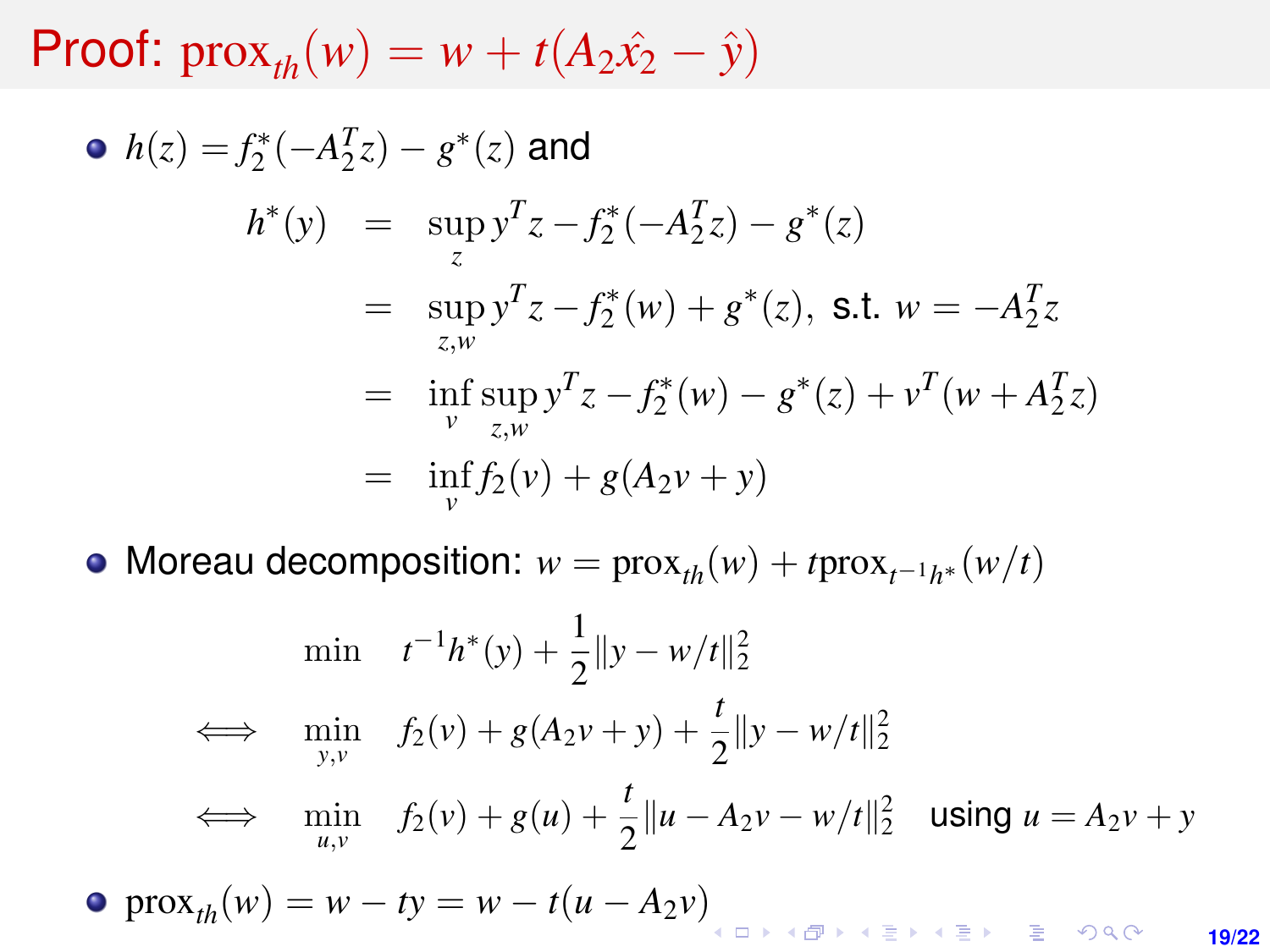Proof:  $prox_{th}(w) = w + t(A_2\hat{x}_2 - \hat{y})$ 

• 
$$
h(z) = f_2^*(-A_2^T z) - g^*(z)
$$
 and  
\n
$$
h^*(y) = \sup_z y^T z - f_2^*(-A_2^T z) - g^*(z)
$$
\n
$$
= \sup_{z,w} y^T z - f_2^*(w) + g^*(z), \text{ s.t. } w = -A_2^T z
$$
\n
$$
= \inf_{v} \sup_{z,w} y^T z - f_2^*(w) - g^*(z) + v^T(w + A_2^T z)
$$
\n
$$
= \inf_{v} f_2(v) + g(A_2v + y)
$$

Moreau decomposition:  $w = \text{prox}_{th}(w) + t \text{prox}_{t^{-1}h^*}(w/t)$ 

$$
\begin{array}{ll}\n\min & t^{-1}h^*(y) + \frac{1}{2} \|y - w/t\|_2^2 \\
\iff & \min_{y,v} & f_2(v) + g(A_2v + y) + \frac{t}{2} \|y - w/t\|_2^2 \\
\iff & \min_{u,v} & f_2(v) + g(u) + \frac{t}{2} \|u - A_2v - w/t\|_2^2 \quad \text{using } u = A_2v + y \\
\text{prox}_{th}(w) = w - ty = w - t(u - A_2v)\n\end{array}
$$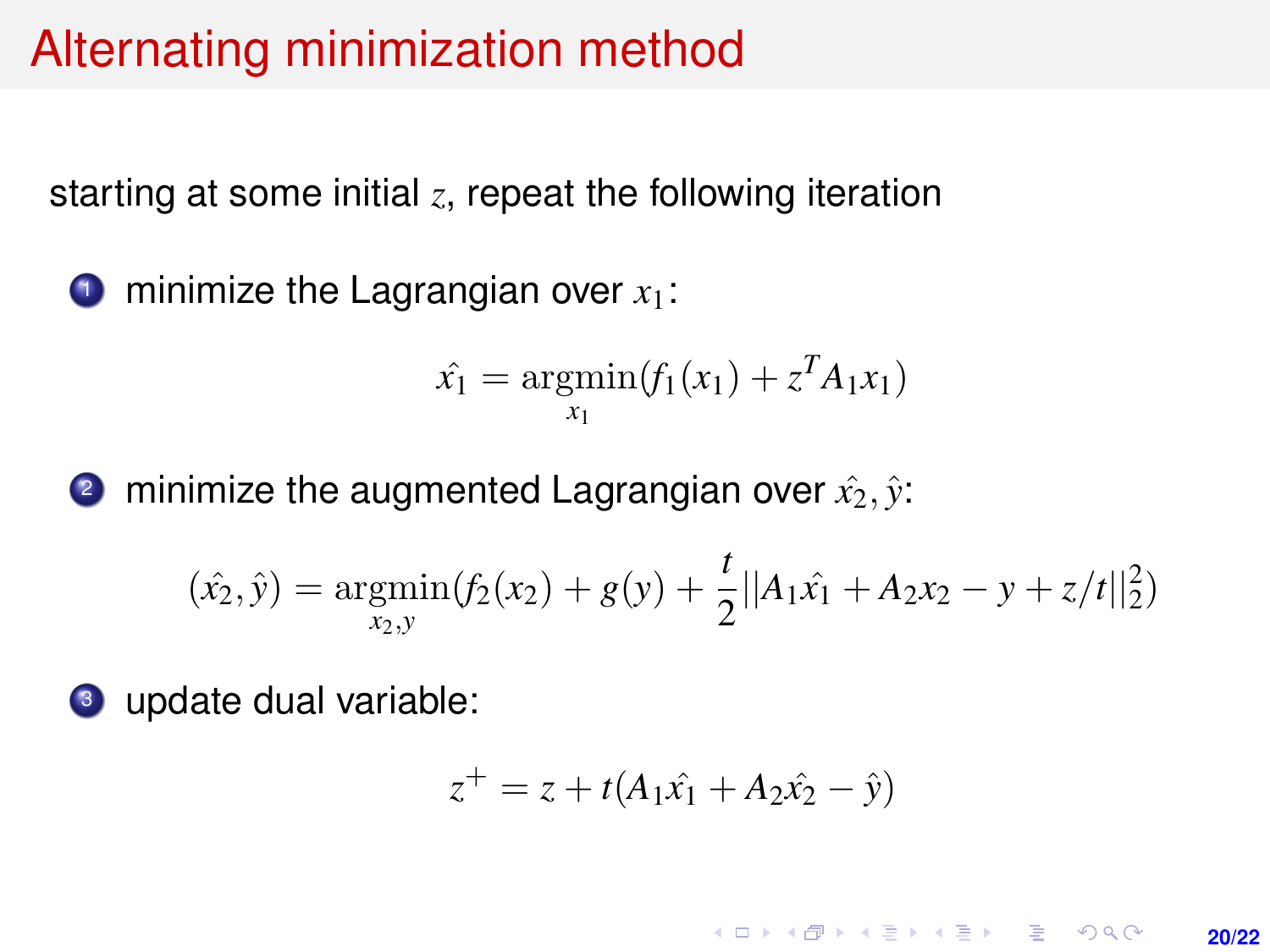# Alternating minimization method

starting at some initial *z*, repeat the following iteration

**1** minimize the Lagrangian over  $x_1$ :

$$
\hat{x_1} = \operatorname*{argmin}_{x_1} (f_1(x_1) + z^T A_1 x_1)
$$

2 minimize the augmented Lagrangian over  $\hat{x}_2, \hat{y}$ :

$$
(\hat{x_2}, \hat{y}) = \underset{x_2, y}{\text{argmin}}(f_2(x_2) + g(y) + \frac{t}{2}||A_1\hat{x_1} + A_2x_2 - y + z/t||_2^2)
$$

<sup>3</sup> update dual variable:

$$
z^+ = z + t(A_1\hat{x_1} + A_2\hat{x_2} - \hat{y})
$$

**KORKARK A BIK BIKA A GA A GA A GA A BIKA A BIKA A BIKA A BIKA A BIKA A BIKA A BIKA A BIKA A BIKA A BIKA A BIKA 20/22**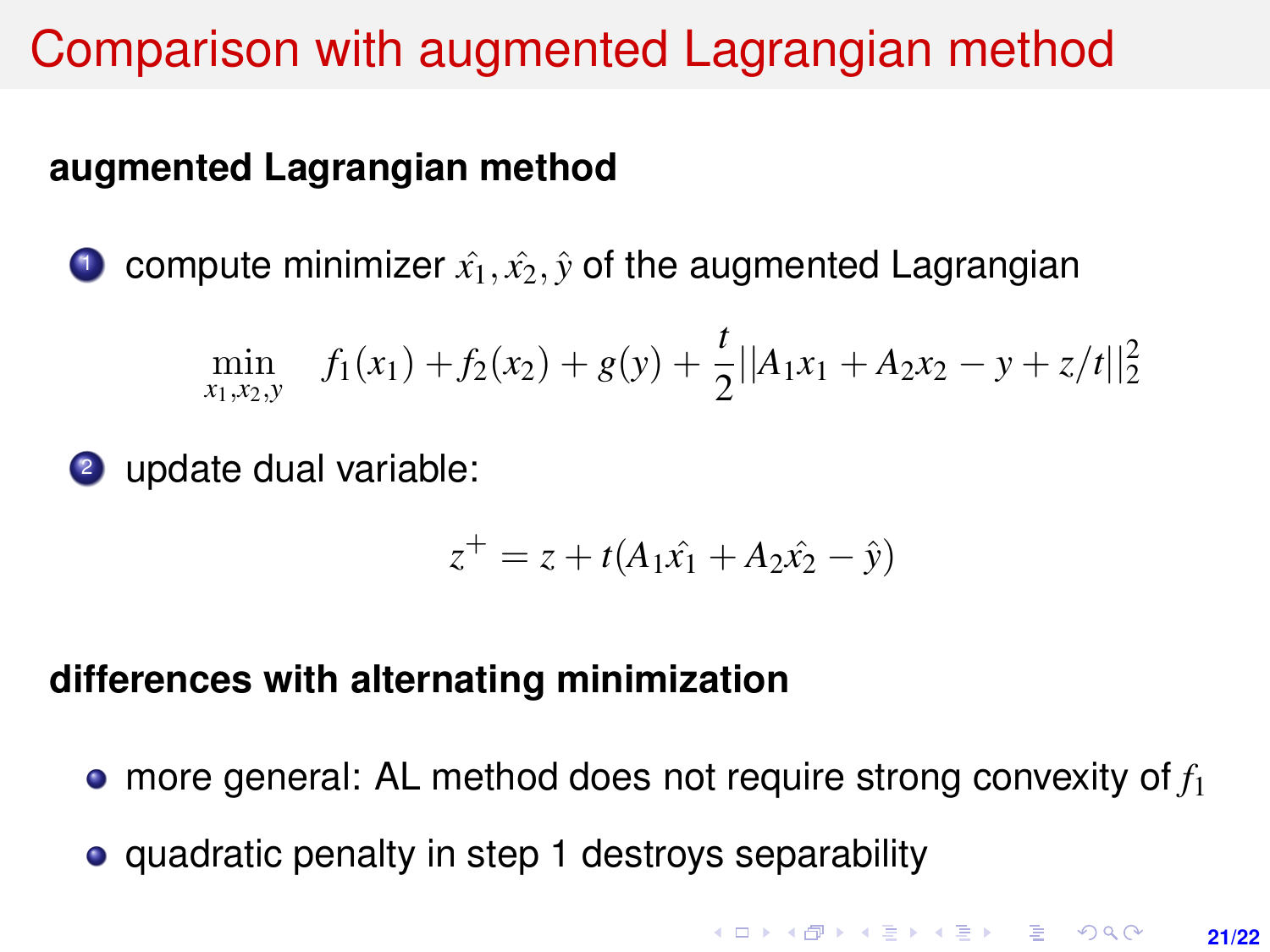# Comparison with augmented Lagrangian method

### **augmented Lagrangian method**

**1** compute minimizer  $\hat{x_1}, \hat{x_2}, \hat{y}$  of the augmented Lagrangian

$$
\min_{x_1, x_2, y} f_1(x_1) + f_2(x_2) + g(y) + \frac{t}{2} ||A_1x_1 + A_2x_2 - y + z/t||_2^2
$$

<sup>2</sup> update dual variable:

$$
z^+ = z + t(A_1\hat{x_1} + A_2\hat{x_2} - \hat{y})
$$

#### **differences with alternating minimization**

- more general: AL method does not require strong convexity of *f*<sup>1</sup>
- quadratic penalty in step 1 destroys separability